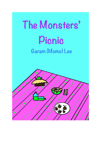## The Monsters' Pienie Garam (Momo) Lee

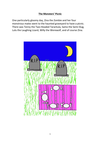## **The Monsters' Picnic**

One particularly gloomy day, Zina the Zombie and her four monstrous mates went to the haunted graveyard to have a picnic. There was Tenny the Two-Headed Tarantula, Samo the Semi-Slug, Lulu the Laughing Lizard, Willy the Werewolf, and of course Zina.

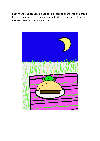Each friend had brought an appetising snack to share with the group, but first they needed to find a way to divide the food so that every monster received the same amount.

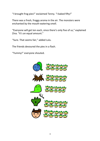"I brought frog pies!" exclaimed Tenny. "I baked fifty!"

There was a fresh, froggy aroma in the air. The monsters were enchanted by the mouth-watering smell.

"Everyone will get ten each, since there's only five of us," explained Zina. "It's an equal amount."

"Sure. That seems fair," added Lulu.

The friends devoured the pies in a flash.

"Yummy!" everyone shouted.

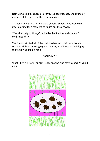Next up was Lulu's chocolate-flavoured cockroaches. She excitedly dumped all thirty-five of them onto a plate.

"To keep things fair, I'll give each of you… seven!" declared Lulu, after pausing for a moment to figure out the answer.

"Yes, that's right! Thirty-five divided by five is exactly seven," confirmed Willy.

The friends stuffed all of the cockroaches into their mouths and swallowed them in a single gulp. Their eyes widened with delight; the taste was unbelievable!

## \*GRUMBLE!\*

"Looks like we're still hungry! Does anyone else have a snack?" asked Zina.

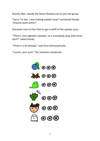Shortly after, Goody the Ghost floated over to join the group.

"Sorry I'm late. I was making eyeball soup!" exclaimed Goody. "Anyone want some?"

Everyone rose to their feet to get a whiff of the spooky soup.

"There's only eighteen eyeballs, so is everybody okay with three each?" asked Goody.

"Three is a lot already," said Zina enthusiastically.

"Ooohhh, yum yum!" the monsters exclaimed.

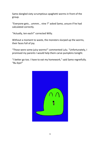Samo dangled sixty scrumptious spaghetti worms in front of the group.

"Everyone gets… ummm… nine ?" asked Samo, unsure if he had calculated correctly.

"Actually, ten each!" corrected Willy.

Without a moment to waste, the monsters slurped up the worms, their faces full of joy.

"Those were some juicy worms!" commented Lulu. "Unfortunately, I promised my parents I would help them carve pumpkins tonight.

"I better go too. I have to eat my homework," said Samo regretfully. "Bu-bye!"

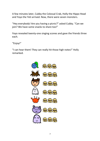A few minutes later, Cubby the Colossal Crab, Holly the Hippo Head and Yoyo the Yeti arrived. Now, there were seven monsters.

"Hey everybody! Are you having a picnic?" asked Cubby. "Can we join? We have some snacks to share too!"

Yoyo revealed twenty-one singing scones and gave the friends three each.

"Enjoy!"

"I can hear them! They can really hit those high notes!" Holly remarked.

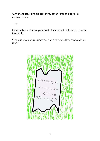"Anyone thirsty? I've brought thirty-seven litres of slug juice!" exclaimed Zina.

"YAY!"

Zina grabbed a piece of paper out of her pocket and started to write frantically.

"There is seven of us… ummm… wait a minute... How can we divide this?"

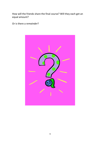How will the friends share the final course? Will they each get an equal amount?

Or is there a *remainder*?